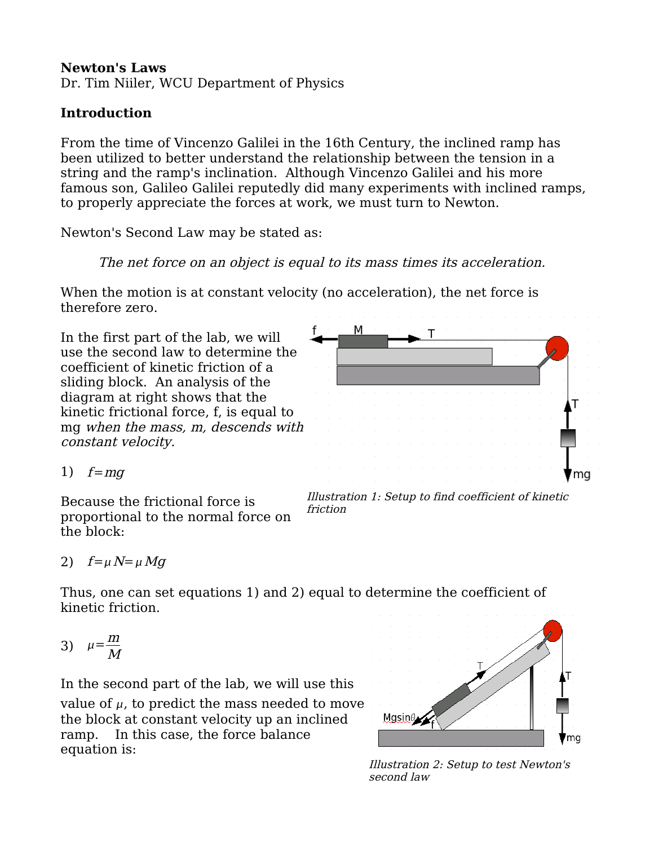#### **Newton's Laws**

Dr. Tim Niiler, WCU Department of Physics

### **Introduction**

From the time of Vincenzo Galilei in the 16th Century, the inclined ramp has been utilized to better understand the relationship between the tension in a string and the ramp's inclination. Although Vincenzo Galilei and his more famous son, Galileo Galilei reputedly did many experiments with inclined ramps, to properly appreciate the forces at work, we must turn to Newton.

Newton's Second Law may be stated as:

#### The net force on an object is equal to its mass times its acceleration.

When the motion is at constant velocity (no acceleration), the net force is therefore zero.

In the first part of the lab, we will use the second law to determine the coefficient of kinetic friction of a sliding block. An analysis of the diagram at right shows that the kinetic frictional force, f, is equal to mg when the mass, m, descends with constant velocity.



Because the frictional force is proportional to the normal force on the block:



Illustration 1: Setup to find coefficient of kinetic friction

2)  $f = \mu N = \mu Mg$ 

Thus, one can set equations 1) and 2) equal to determine the coefficient of kinetic friction.

$$
3) \quad \mu = \frac{m}{M}
$$

In the second part of the lab, we will use this value of  $\mu$ , to predict the mass needed to move the block at constant velocity up an inclined ramp. In this case, the force balance equation is:



Illustration 2: Setup to test Newton's second law